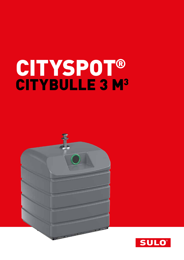# CITYSPOT® CITYBULLE 3 M<sup>3</sup>



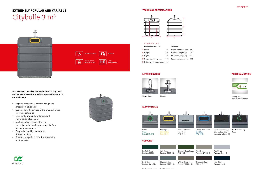

## EXTREMELY POPULAR AND VARIABLE Citybulle 3 m<sup>3</sup>

**Aproved over decades this variable recycling bank makes use of even the smallest spaces thanks to its optimal shape** 

- **Popular because of timeless design and** practical functionality
- Suitable for efficient use of the smallest areas for waste collection
- Easy configuration for all important waste sorting functions
- Multiple options to ease the use: e.g. noise reduction for glass, special flap for major consumers
- Easy to be used by people with limited mobility
- Smallest shape for  $3 \text{ m}^3$  volume available on the market



#### TECHNICAL SPECIFICATIONS



| Dimensions $\sim$ (mm)*            |      | Volumes*                        |      |
|------------------------------------|------|---------------------------------|------|
| A Width                            | 1400 | Useful Volumes ~ $[m^3]$        | 2.40 |
| <b>B</b> Height                    | 1600 | Unloaded weight (kg)            | 200  |
| C Depth                            | 1400 | Maximum weight (kg)             | 1200 |
| D Height from the ground           | 1450 | Space requirements $[m^2]$ 1,96 |      |
| E Height for reduced mobility 1180 |      |                                 |      |



Single Hook Kinshofer

B



#### Citybulle 3 m<sup>3</sup>

#### SLOT SYSTEMS



**Paper/ Cardboard** Sky Blue RAL 5015

RAL 6010-6018

Zink Yellow RAL 1018

COLOURS\*\*

#### LIFTING DEVICES





Big Producer Flap, Extended sorting instructions (no lock)

RAL 7011

PERSONALISATION



Sorting out instruction (example)

Pearl Grey Pantone Grey 6 C



\*\* all of the colours on demand



Flint Grey Pantone Q710-3-2

Chocolate Brow RAL 8019

Navy Blue Pantone 296 C



Big Producer Flap Glass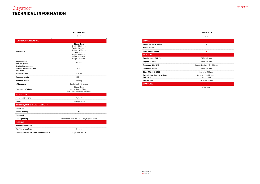|                                                         | 3 m <sup>3</sup>                           |
|---------------------------------------------------------|--------------------------------------------|
| <b>SERVICE</b>                                          |                                            |
| Pay as you throw billing                                | ۰                                          |
| <b>Access control</b>                                   |                                            |
| Level measurement                                       | m.                                         |
| <b>FRACTIONS</b>                                        |                                            |
| Regular waste RAL 7011                                  | 545 x 365 mm                               |
| Paper RAL 5015                                          | 115 x 350 mm                               |
| Packaging RAL 1018                                      | Standard orifice 115 x 350 mm              |
| <b>Cardboard RAL 5023</b>                               | 115 x 350 mm                               |
| Glass RAL 6010-6018                                     | Diameter 150 mm                            |
| <b>Extended sorting instructions</b><br><b>RAL 1018</b> | Big user flap with shutter<br>without lock |
| <b>Big user flap</b>                                    | 510 mm x 340 mm                            |
| <b>STANDARDS</b>                                        |                                            |
|                                                         | <b>NF EN 13071</b>                         |

### Cityspot® TECHNICAL INFORMATION



#### **CITYBULLE**

#### CITYBULLE

|                                                                          | 3 m <sup>3</sup>                                                                                                                                  |
|--------------------------------------------------------------------------|---------------------------------------------------------------------------------------------------------------------------------------------------|
| <b>TECHNICAL SPECIFICATIONS</b>                                          |                                                                                                                                                   |
| <b>Dimensions</b>                                                        | <b>Single Hook</b><br>Depth: 1560 mm,<br>Width: 1400 mm,<br>Height: 1600 mm<br>Kinshofer<br>Depth: 1400 mm,<br>Width: 1400 mm,<br>Height: 1600 mm |
| <b>Height of holes</b><br>from the ground                                | 1450 mm                                                                                                                                           |
| <b>Height of the openings</b><br>for reduced mobility from<br>the ground | 1180 mm                                                                                                                                           |
| <b>Useful volumes</b>                                                    | $2,40 \text{ m}^3$                                                                                                                                |
| <b>Unloaded weigth</b>                                                   | 200 kg                                                                                                                                            |
| Maximum weigth                                                           | 1200 kg                                                                                                                                           |
| <b>Lifting device</b>                                                    | Single Hook, Kinshofer                                                                                                                            |
| <b>Flap Opening Volume</b>                                               | Single Hook<br>simple flap: 61,2 litres,<br>Kinshofer double flap: 112 litres                                                                     |
| <b>INSTALLATION</b>                                                      |                                                                                                                                                   |
| <b>Space requirements</b>                                                | 1,96m <sup>2</sup>                                                                                                                                |
| <b>Transport</b>                                                         | 9 units per truck                                                                                                                                 |
| HANDLING, COMFORT AND FLEXIBILITY                                        |                                                                                                                                                   |
| <b>Compactor</b>                                                         |                                                                                                                                                   |
| <b>Reduce mobility</b>                                                   | П                                                                                                                                                 |
| Foot pedal                                                               |                                                                                                                                                   |
| Sound-proofing                                                           | Installation of an insulating polyethylene foam                                                                                                   |
| <b>EMPTYING</b>                                                          |                                                                                                                                                   |
| <b>Number of operators</b>                                               | ŧ                                                                                                                                                 |
| <b>Duration of emptying</b>                                              | $1-2$ min                                                                                                                                         |
| <b>Emptying system according prehension grip</b>                         | Single flap, vertical                                                                                                                             |